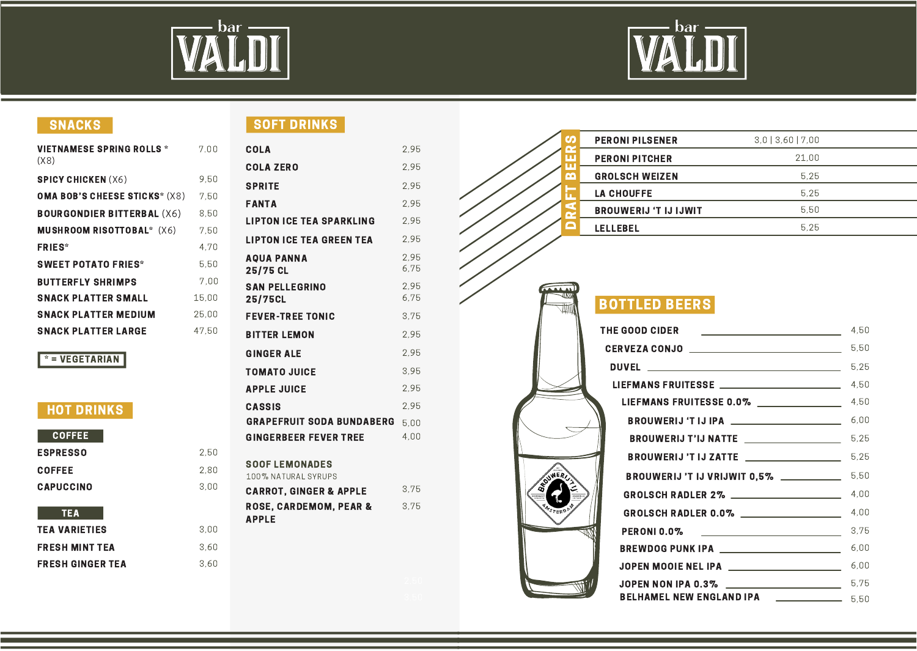

2,50

 $2,80$ <br> $3,00$ 

3,60 3,00

3,60



| 7.00  |
|-------|
| 9.50  |
| 7.50  |
| 8.50  |
| 7.50  |
| 4.70  |
| 5.50  |
| 7.00  |
| 15,00 |
| 25,00 |
| 47.50 |
|       |

#### $*$  = VEGETARIAN

#### HOT DRINKS

| <b>COFFEE</b>           |  |
|-------------------------|--|
| <b>ESPRESSO</b>         |  |
| <b>COFFEE</b>           |  |
| <b>CAPUCCINO</b>        |  |
| <b>TEA</b>              |  |
| <b>TEA VARIETIES</b>    |  |
| <b>FRESH MINT TEA</b>   |  |
| <b>FRESH GINGER TEA</b> |  |

### SNACKS SOFT DRINKS

| <b>COLA</b>                                       | 2,95         |
|---------------------------------------------------|--------------|
| <b>COLA ZERO</b>                                  | 2.95         |
| <b>SPRITE</b>                                     | 2.95         |
| <b>FANTA</b>                                      | 2.95         |
| <b>LIPTON ICE TEA SPARKLING</b>                   | 2,95         |
| <b>LIPTON ICE TEA GREEN TEA</b>                   | 2.95         |
| <b>AQUA PANNA</b><br>25/75 CL                     | 2.95<br>6,75 |
| <b>SAN PELLEGRINO</b><br><b>25/75CL</b>           | 2.95<br>6,75 |
| <b>FEVER-TREE TONIC</b>                           | 3.75         |
| <b>BITTER LEMON</b>                               | 2.95         |
| <b>GINGER ALE</b>                                 | 2,95         |
| <b>TOMATO JUICE</b>                               | 3.95         |
| <b>APPLE JUICE</b>                                | 2.95         |
| <b>CASSIS</b>                                     | 2.95         |
| <b>GRAPEFRUIT SODA BUNDABERG</b>                  | 5.00         |
| <b>GINGERBEER FEVER TREE</b>                      | 4.00         |
| <b>SOOF LEMONADES</b><br>100% NATURAL SYRUPS      |              |
| <b>CARROT, GINGER &amp; APPLE</b>                 | 3.75         |
| <b>ROSE. CARDEMOM. PEAR &amp;</b><br><b>APPLE</b> | 3,75         |
|                                                   |              |

| ഗ               | <b>PERONI PILSENER</b>       | 3.013.6017.00 |  |
|-----------------|------------------------------|---------------|--|
| П               | <b>PERONI PITCHER</b>        | 21.00         |  |
| ത               | <b>GROLSCH WEIZEN</b>        | 5.25          |  |
|                 | <b>LA CHOUFFE</b>            | 5.25          |  |
|                 | <b>BROUWERIJ 'T IJ IJWIT</b> | 5.50          |  |
| <b>LELLEBEL</b> |                              | 5.25          |  |

### BOTTLED BEERS

**JIVY** ₩

WEA

| THE GOOD CIDER<br><u> 1989 - Johann Barn, fransk politik (d. 1989)</u>              | 4,50 |
|-------------------------------------------------------------------------------------|------|
| CERVEZA CONJO ______________________________                                        | 5,50 |
|                                                                                     | 5,25 |
|                                                                                     | 4,50 |
| LIEFMANS FRUITESSE 0.0% ______________                                              | 4,50 |
|                                                                                     | 6,00 |
| BROUWERIJ T'IJ NATTE __________________                                             | 5.25 |
| BROUWERIJ 'T IJ ZATTE __________________                                            | 5,25 |
| <b>BROUWERIJ 'T IJ VRIJWIT 0,5% ____________</b> 5,50                               |      |
| GROLSCH RADLER 2% ___________________                                               | 4,00 |
| GROLSCH RADLER 0.0% ________________                                                | 4,00 |
| <b>PERONI 0.0%</b><br><u> 1986 - Johann Stein, mars an deutscher Stein († 1908)</u> | 3.75 |
| <b>BREWDOG PUNK IPA ___________________________</b>                                 | 6,00 |
| JOPEN MOOIE NEL IPA _____________________                                           | 6.00 |
| JOPEN NON IPA 0.3% ______________________                                           | 5.75 |
| BELHAMEL NEW ENGLAND IPA <b>LEADER CONSUMER</b> 5,50                                |      |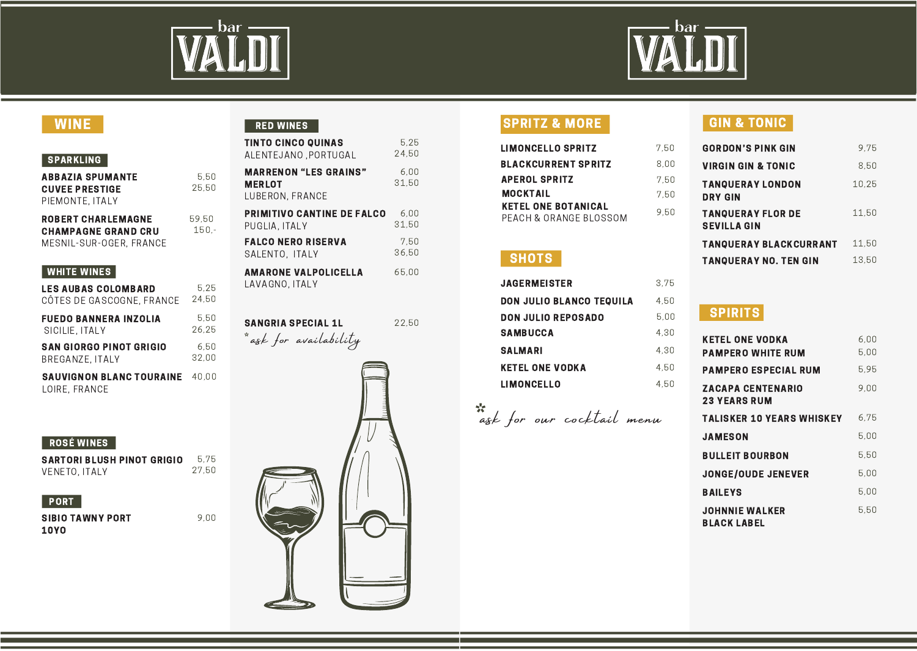



### WINE

#### SPARKLING

| ABBAZIA SPUMANTE           | 5.50    |
|----------------------------|---------|
| <b>CUVEE PRESTIGE</b>      | 25.50   |
| PIEMONTE. ITALY            |         |
| <b>ROBERT CHARLEMAGNE</b>  | 59.50   |
| <b>CHAMPAGNE GRAND CRU</b> | $150 -$ |
| MESNIL-SUR-OGER. FRANCE    |         |

#### WHITE WINES

| <b>LES AUBAS COLOMBARD</b><br>CÔTES DE GASCOGNE, FRANCE | 5.25<br>24.50 | LAVAGNU, IIALY            |
|---------------------------------------------------------|---------------|---------------------------|
| <b>FUEDO BANNERA INZOLIA</b><br>SICILIE, ITALY          | 5.50<br>26.25 | <b>SANGRIA SPECIAL 1L</b> |
| <b>SAN GIORGO PINOT GRIGIO</b><br>BREGANZE, ITALY       | 6.50<br>32.00 | * ask for availability    |
| <b>SAUVIGNON BLANC TOURAINE</b><br>LOIRE, FRANCE        | 40.00         |                           |

#### ROSÉ WINES

SARTORI BLUSH PINOT GRIGIO VENETO, ITALY 5,75 27,50

9,00

#### **PORT**

SIBIO TAWNY PORT 10YO

#### RED WINES

| <b>TINTO CINCO QUINAS</b>                                        | 5.25          |
|------------------------------------------------------------------|---------------|
| ALENTEJANO .PORTUGAL                                             | 24.50         |
| <b>MARRENON "LES GRAINS"</b><br><b>MERLOT</b><br>LUBERON, FRANCE | 6,00<br>31.50 |
| <b>PRIMITIVO CANTINE DE FALCO</b>                                | 6,00          |
| PUGLIA. ITALY                                                    | 31.50         |
| <b>FALCO NERO RISERVA</b>                                        | 7,50          |
| SALENTO, ITALY                                                   | 36.50         |
| <b>AMARONE VALPOLICELLA</b><br>LAVAGNO. ITALY                    | 65,00         |

SANGRIA SPECIAL 1L 22,50



### SPRITZ & MORE

| <b>LIMONCELLO SPRITZ</b>                             | 7.50 |
|------------------------------------------------------|------|
| <b>BLACKCURRENT SPRITZ</b>                           | 8.00 |
| <b>APEROL SPRITZ</b>                                 | 7.50 |
| <b>MOCKTAIL</b>                                      | 7.50 |
| <b>KETEL ONE BOTANICAL</b><br>PEACH & ORANGE BLOSSOM | 9.50 |

### **SHOTS**

| <b>JAGERMEISTER</b>             | 3.75 |
|---------------------------------|------|
| <b>DON JULIO BLANCO TEQUILA</b> | 4.50 |
| <b>DON JULIO REPOSADO</b>       | 5.00 |
| <b>SAMBUCCA</b>                 | 4.30 |
| <b>SALMARI</b>                  | 4.30 |
| <b>KETEL ONE VODKA</b>          | 4.50 |
| <b>LIMONCELLO</b>               | 4.50 |

# \*\*<br>ask for our cocktail menu

### GIN & TONIC

| <b>GORDON'S PINK GIN</b>                       | 9.75  |
|------------------------------------------------|-------|
| <b>VIRGIN GIN &amp; TONIC</b>                  | 8.50  |
| <b>TANQUERAY LONDON</b><br><b>DRY GIN</b>      | 10.25 |
| <b>TANOUERAY FLOR DE</b><br><b>SEVILLA GIN</b> | 11.50 |
| <b>TANQUERAY BLACKCURRANT</b>                  | 11,50 |
| <b>TANQUERAY NO. TEN GIN</b>                   | 13.50 |
|                                                |       |

### **SPIRITS**

| <b>KETEL ONE VODKA</b><br><b>PAMPERO WHITE RUM</b> | 6.00<br>5.00 |
|----------------------------------------------------|--------------|
| <b>PAMPERO ESPECIAL RUM</b>                        | 5.95         |
| <b>ZACAPA CENTENARIO</b><br><b>23 YEARS RUM</b>    | 9,00         |
| <b>TALISKER 10 YEARS WHISKEY</b>                   | 6.75         |
| <b>JAMESON</b>                                     | 5.00         |
| <b>BULLEIT BOURBON</b>                             | 5.50         |
| <b>JONGE/OUDE JENEVER</b>                          | 5,00         |
| <b>BAILEYS</b>                                     | 5.00         |
| <b>JOHNNIE WALKER</b><br><b>BLACK LABEL</b>        | 5.50         |